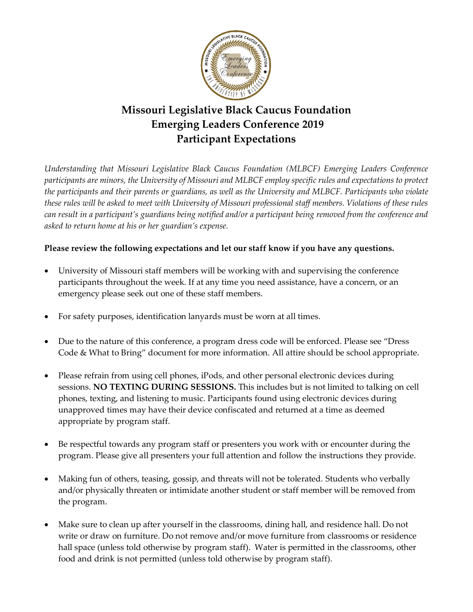

## **Missouri Legislative Black Caucus Foundation Emerging Leaders Conference 2019 Participant Expectations**

*Understanding that Missouri Legislative Black Caucus Foundation (MLBCF) Emerging Leaders Conference participants are minors, the University of Missouri and MLBCF employ specific rules and expectations to protect the participants and their parents or guardians, as well as the University and MLBCF. Participants who violate these rules will be asked to meet with University of Missouri professional staff members. Violations of these rules can result in a participant's guardians being notified and/or a participant being removed from the conference and asked to return home at his or her guardian's expense.* 

## **Please review the following expectations and let our staff know if you have any questions.**

- University of Missouri staff members will be working with and supervising the conference participants throughout the week. If at any time you need assistance, have a concern, or an emergency please seek out one of these staff members.
- For safety purposes, identification lanyards must be worn at all times.
- Due to the nature of this conference, a program dress code will be enforced. Please see "Dress Code & What to Bring" document for more information. All attire should be school appropriate.
- Please refrain from using cell phones, iPods, and other personal electronic devices during sessions. **NO TEXTING DURING SESSIONS.** This includes but is not limited to talking on cell phones, texting, and listening to music. Participants found using electronic devices during unapproved times may have their device confiscated and returned at a time as deemed appropriate by program staff.
- Be respectful towards any program staff or presenters you work with or encounter during the program. Please give all presenters your full attention and follow the instructions they provide.
- Making fun of others, teasing, gossip, and threats will not be tolerated. Students who verbally and/or physically threaten or intimidate another student or staff member will be removed from the program.
- Make sure to clean up after yourself in the classrooms, dining hall, and residence hall. Do not write or draw on furniture. Do not remove and/or move furniture from classrooms or residence hall space (unless told otherwise by program staff). Water is permitted in the classrooms, other food and drink is not permitted (unless told otherwise by program staff).